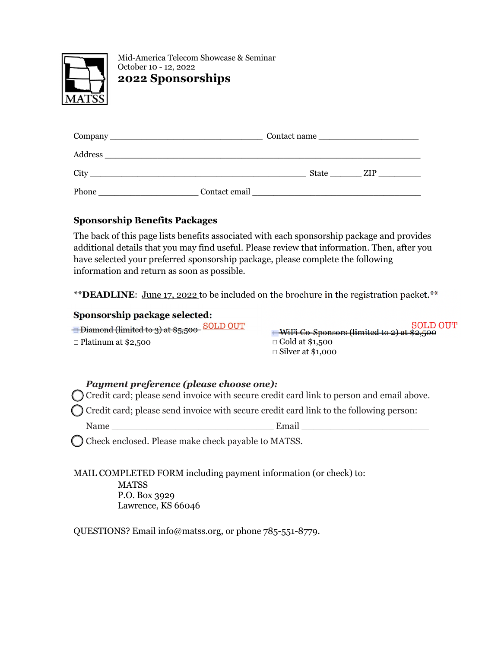

Mid-America Telecom Showcase & Seminar October 10 - 12, 2022 **2022 Sponsorships**

|         | Contact name  |       |     |  |  |  |  |
|---------|---------------|-------|-----|--|--|--|--|
| Address |               |       |     |  |  |  |  |
| City    |               | State | ZIP |  |  |  |  |
| Phone   | Contact email |       |     |  |  |  |  |

### **Sponsorship Benefits Packages**

The back of this page lists benefits associated with each sponsorship package and provides additional details that you may find useful. Please review that information. Then, after you have selected your preferred sponsorship package, please complete the following information and return as soon as possible.

\*\***DEADLINE**: June 17, 2022 to be included on the brochure in the registration packet.\*\*

### **Sponsorship package selected:**

**□ Diamond (limited to 3) at \$5,500 SOLD OUT** ☐ Platinum at \$2,500

☐ WiFi Co-Sponsors (limited to 2) at \$2,500 ☐ Gold at \$1,500 ☐ Silver at \$1,000

## *Payment preference (please choose one):*

Credit card; please send invoice with secure credit card link to person and email above.

Credit card; please send invoice with secure credit card link to the following person:

Name \_\_\_\_\_\_\_\_\_\_\_\_\_\_\_\_\_\_\_\_\_\_\_\_\_\_\_\_ Email \_\_\_\_\_\_\_\_\_\_\_\_\_\_\_\_\_\_\_\_\_\_

Check enclosed. Please make check payable to MATSS.

MAIL COMPLETED FORM including payment information (or check) to: MATSS P.O. Box 3929 Lawrence, KS 66046

QUESTIONS? Email info@matss.org, or phone 785-551-8779.